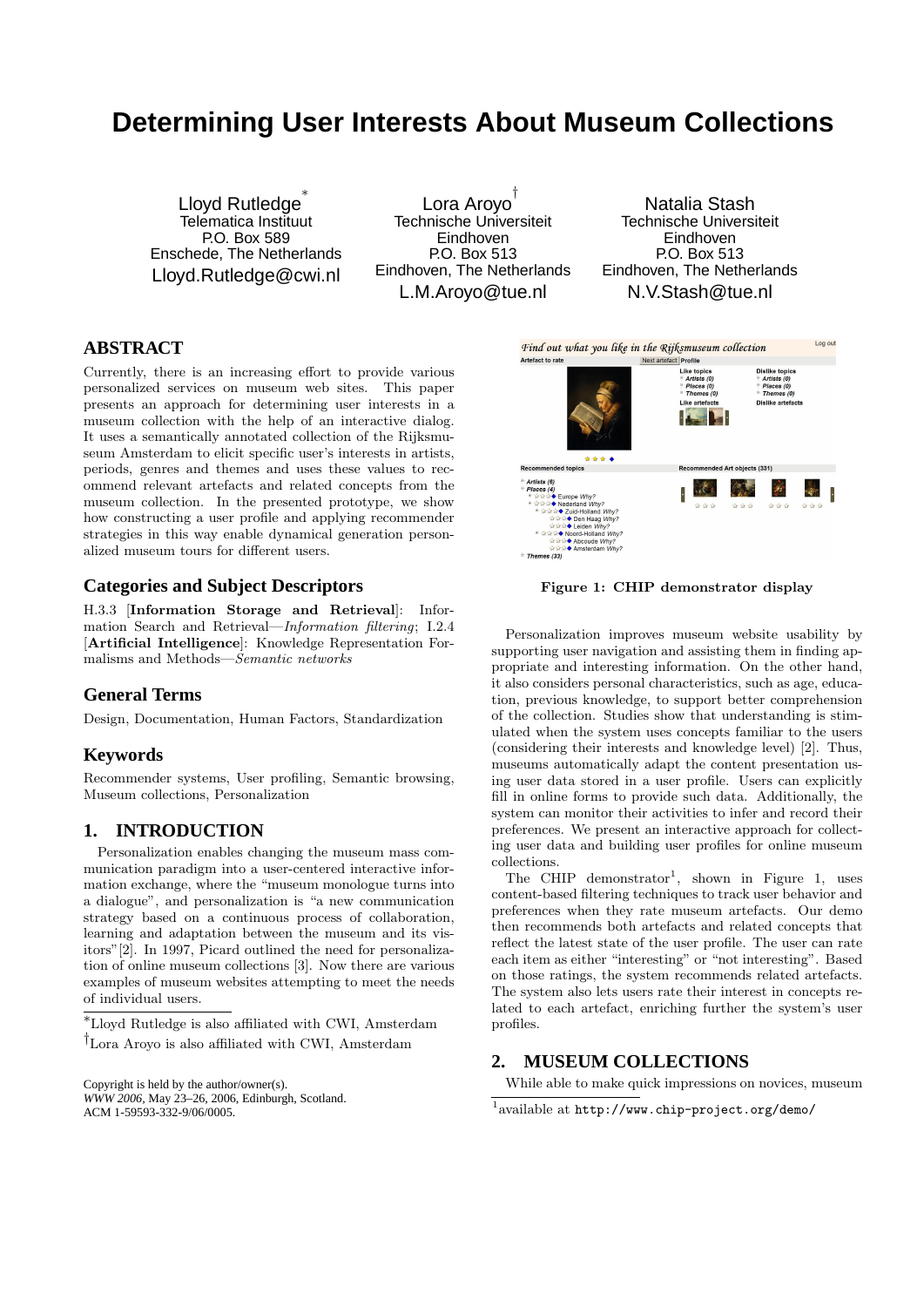# **Determining User Interests About Museum Collections**

Lloyd Rutledge<sup>\*</sup> Telematica Instituut P.O. Box 589 Enschede, The Netherlands Lloyd.Rutledge@cwi.nl

Lora Aroyo † Technische Universiteit Eindhoven P.O. Box 513 Eindhoven, The Netherlands L.M.Aroyo@tue.nl

Natalia Stash Technische Universiteit Eindhoven P.O. Box 513 Eindhoven, The Netherlands N.V.Stash@tue.nl

# **ABSTRACT**

Currently, there is an increasing effort to provide various personalized services on museum web sites. This paper presents an approach for determining user interests in a museum collection with the help of an interactive dialog. It uses a semantically annotated collection of the Rijksmuseum Amsterdam to elicit specific user's interests in artists, periods, genres and themes and uses these values to recommend relevant artefacts and related concepts from the museum collection. In the presented prototype, we show how constructing a user profile and applying recommender strategies in this way enable dynamical generation personalized museum tours for different users.

#### **Categories and Subject Descriptors**

H.3.3 [Information Storage and Retrieval]: Information Search and Retrieval—Information filtering; I.2.4 [Artificial Intelligence]: Knowledge Representation Formalisms and Methods—Semantic networks

# **General Terms**

Design, Documentation, Human Factors, Standardization

#### **Keywords**

Recommender systems, User profiling, Semantic browsing, Museum collections, Personalization

## **1. INTRODUCTION**

Personalization enables changing the museum mass communication paradigm into a user-centered interactive information exchange, where the "museum monologue turns into a dialogue", and personalization is "a new communication strategy based on a continuous process of collaboration, learning and adaptation between the museum and its visitors"[2]. In 1997, Picard outlined the need for personalization of online museum collections [3]. Now there are various examples of museum websites attempting to meet the needs of individual users.

<sup>∗</sup>Lloyd Rutledge is also affiliated with CWI, Amsterdam †Lora Aroyo is also affiliated with CWI, Amsterdam

Copyright is held by the author/owner(s). *WWW 2006,* May 23–26, 2006, Edinburgh, Scotland. ACM 1-59593-332-9/06/0005.



Figure 1: CHIP demonstrator display

Personalization improves museum website usability by supporting user navigation and assisting them in finding appropriate and interesting information. On the other hand, it also considers personal characteristics, such as age, education, previous knowledge, to support better comprehension of the collection. Studies show that understanding is stimulated when the system uses concepts familiar to the users (considering their interests and knowledge level) [2]. Thus, museums automatically adapt the content presentation using user data stored in a user profile. Users can explicitly fill in online forms to provide such data. Additionally, the system can monitor their activities to infer and record their preferences. We present an interactive approach for collecting user data and building user profiles for online museum collections.

The CHIP demonstrator<sup>1</sup>, shown in Figure 1, uses content-based filtering techniques to track user behavior and preferences when they rate museum artefacts. Our demo then recommends both artefacts and related concepts that reflect the latest state of the user profile. The user can rate each item as either "interesting" or "not interesting". Based on those ratings, the system recommends related artefacts. The system also lets users rate their interest in concepts related to each artefact, enriching further the system's user profiles.

# **2. MUSEUM COLLECTIONS**

While able to make quick impressions on novices, museum

<sup>1</sup> available at http://www.chip-project.org/demo/